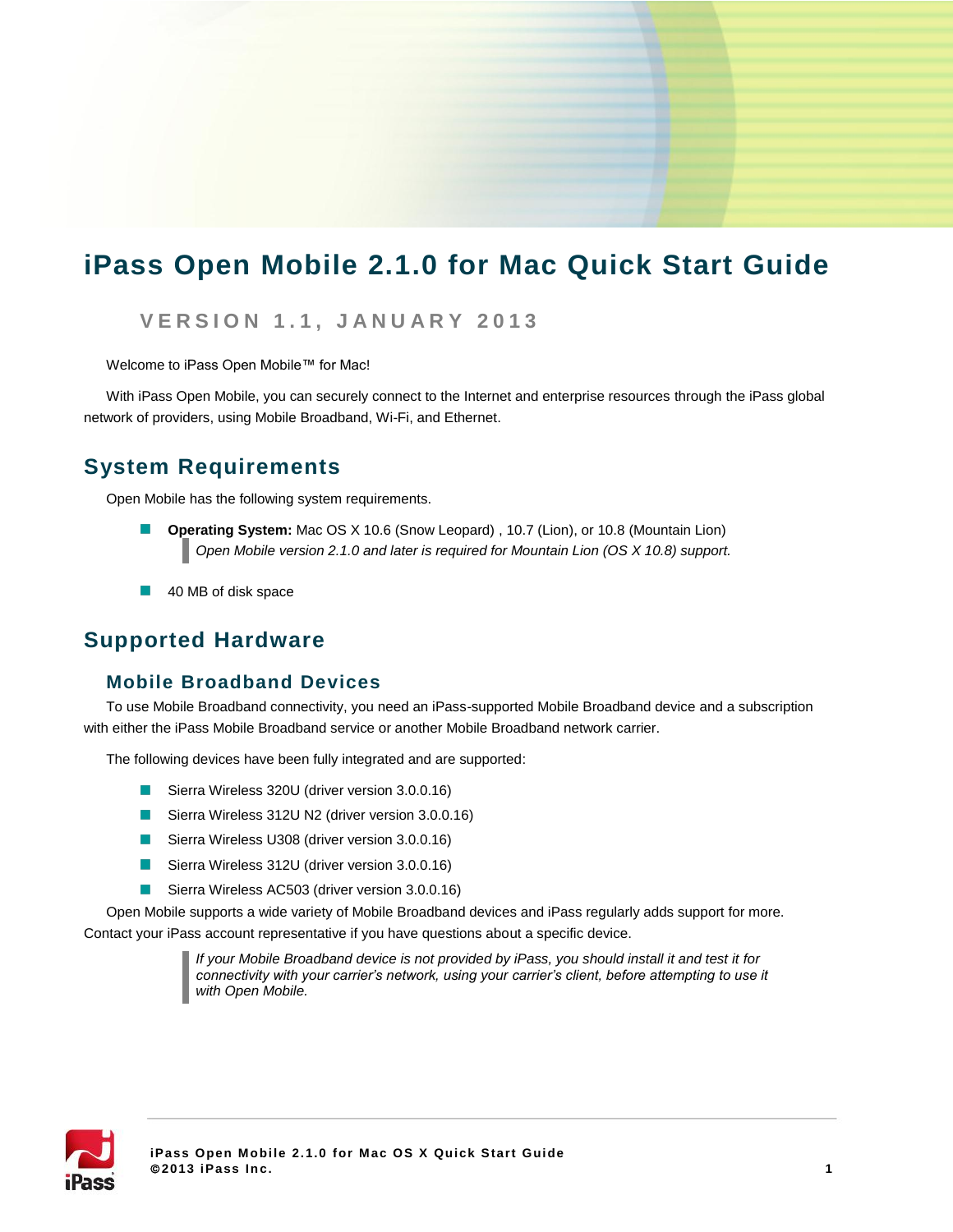# **iPass Open Mobile 2.1.0 for Mac Quick Start Guide**

### **V E R S I O N 1 . 1 , J A N U A R Y 2 0 1 3**

Welcome to iPass Open Mobile™ for Mac!

With iPass Open Mobile, you can securely connect to the Internet and enterprise resources through the iPass global network of providers, using Mobile Broadband, Wi-Fi, and Ethernet.

### **System Requirements**

Open Mobile has the following system requirements.

- **Operating System:** Mac OS X 10.6 (Snow Leopard) , 10.7 (Lion), or 10.8 (Mountain Lion)  $\mathcal{L}^{\mathcal{A}}$ *Open Mobile version 2.1.0 and later is required for Mountain Lion (OS X 10.8) support.*
- 40 MB of disk space  $\Box$

### **Supported Hardware**

#### **Mobile Broadband Devices**

To use Mobile Broadband connectivity, you need an iPass-supported Mobile Broadband device and a subscription with either the iPass Mobile Broadband service or another Mobile Broadband network carrier.

The following devices have been fully integrated and are supported:

- Sierra Wireless 320U (driver version 3.0.0.16)
- Sierra Wireless 312U N2 (driver version 3.0.0.16)
- Sierra Wireless U308 (driver version 3.0.0.16)
- Sierra Wireless 312U (driver version 3.0.0.16)
- $\Box$ Sierra Wireless AC503 (driver version 3.0.0.16)

Open Mobile supports a wide variety of Mobile Broadband devices and iPass regularly adds support for more. Contact your iPass account representative if you have questions about a specific device.

> *If your Mobile Broadband device is not provided by iPass, you should install it and test it for connectivity with your carrier's network, using your carrier's client, before attempting to use it with Open Mobile.*

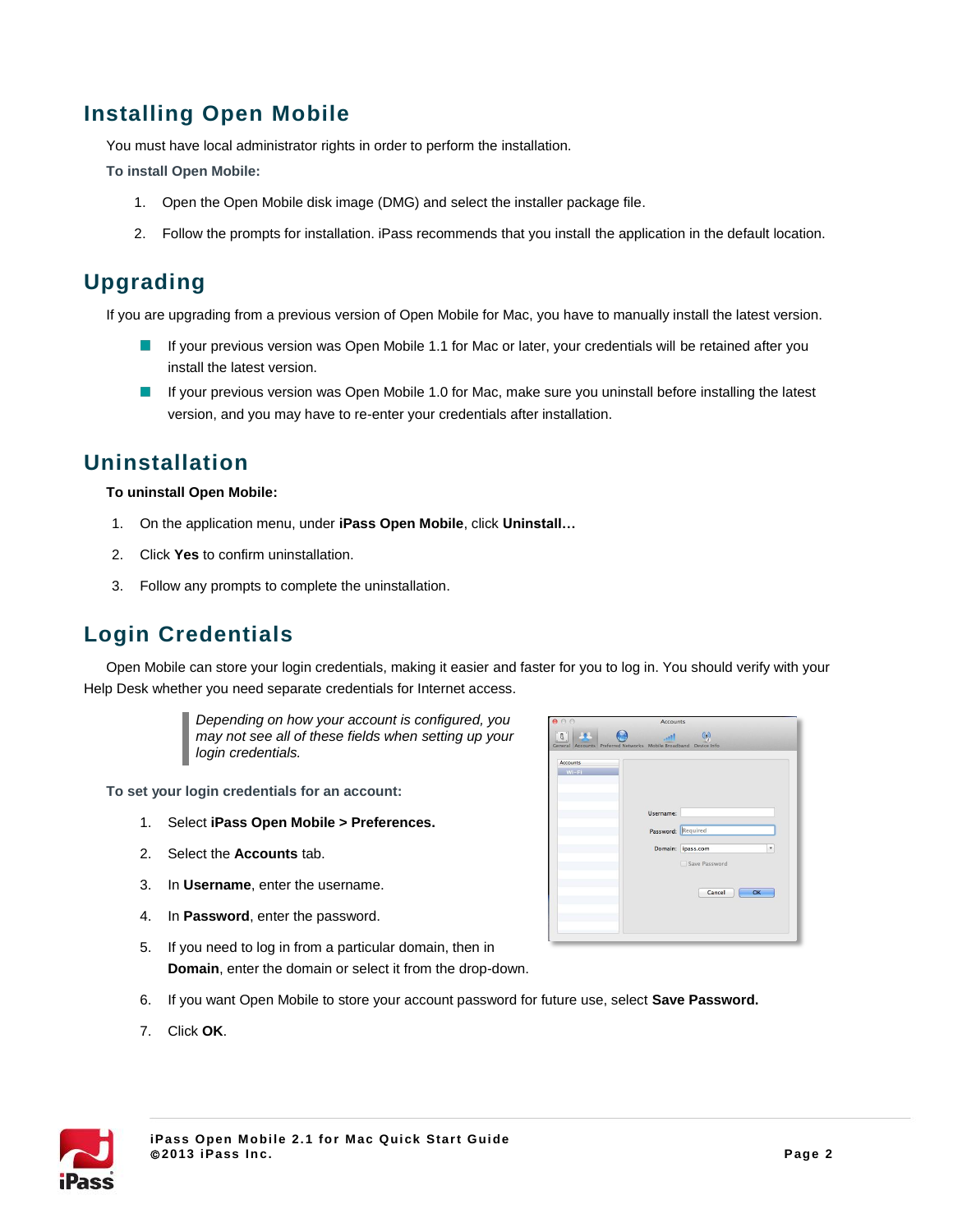# **Installing Open Mobile**

You must have local administrator rights in order to perform the installation.

**To install Open Mobile:**

- 1. Open the Open Mobile disk image (DMG) and select the installer package file.
- 2. Follow the prompts for installation. iPass recommends that you install the application in the default location.

# **Upgrading**

If you are upgrading from a previous version of Open Mobile for Mac, you have to manually install the latest version.

- $\sim$ If your previous version was Open Mobile 1.1 for Mac or later, your credentials will be retained after you install the latest version.
- $\sim 10$ If your previous version was Open Mobile 1.0 for Mac, make sure you uninstall before installing the latest version, and you may have to re-enter your credentials after installation.

### **Uninstallation**

#### **To uninstall Open Mobile:**

- 1. On the application menu, under **iPass Open Mobile**, click **Uninstall…**
- 2. Click **Yes** to confirm uninstallation.
- 3. Follow any prompts to complete the uninstallation.

# **Login Credentials**

Open Mobile can store your login credentials, making it easier and faster for you to log in. You should verify with your Help Desk whether you need separate credentials for Internet access.



**To set your login credentials for an account:**

- 1. Select **iPass Open Mobile > Preferences.**
- 2. Select the **Accounts** tab.
- 3. In **Username**, enter the username.
- 4. In **Password**, enter the password.
- 5. If you need to log in from a particular domain, then in **Domain**, enter the domain or select it from the drop-down.
- 6. If you want Open Mobile to store your account password for future use, select **Save Password.**
- 7. Click **OK**.



| 000                        | Accounts                                                         |                                                                                |  |
|----------------------------|------------------------------------------------------------------|--------------------------------------------------------------------------------|--|
| $B$ .                      | General Accounts Preferred Networks Mobile Broadband Device Info | $\circ$                                                                        |  |
| <b>Accounts</b><br>$Wi-Fi$ | Username:                                                        | Password: Required<br>Domain: ipass.com<br>۳.<br>Save Password<br>Cancel<br>OK |  |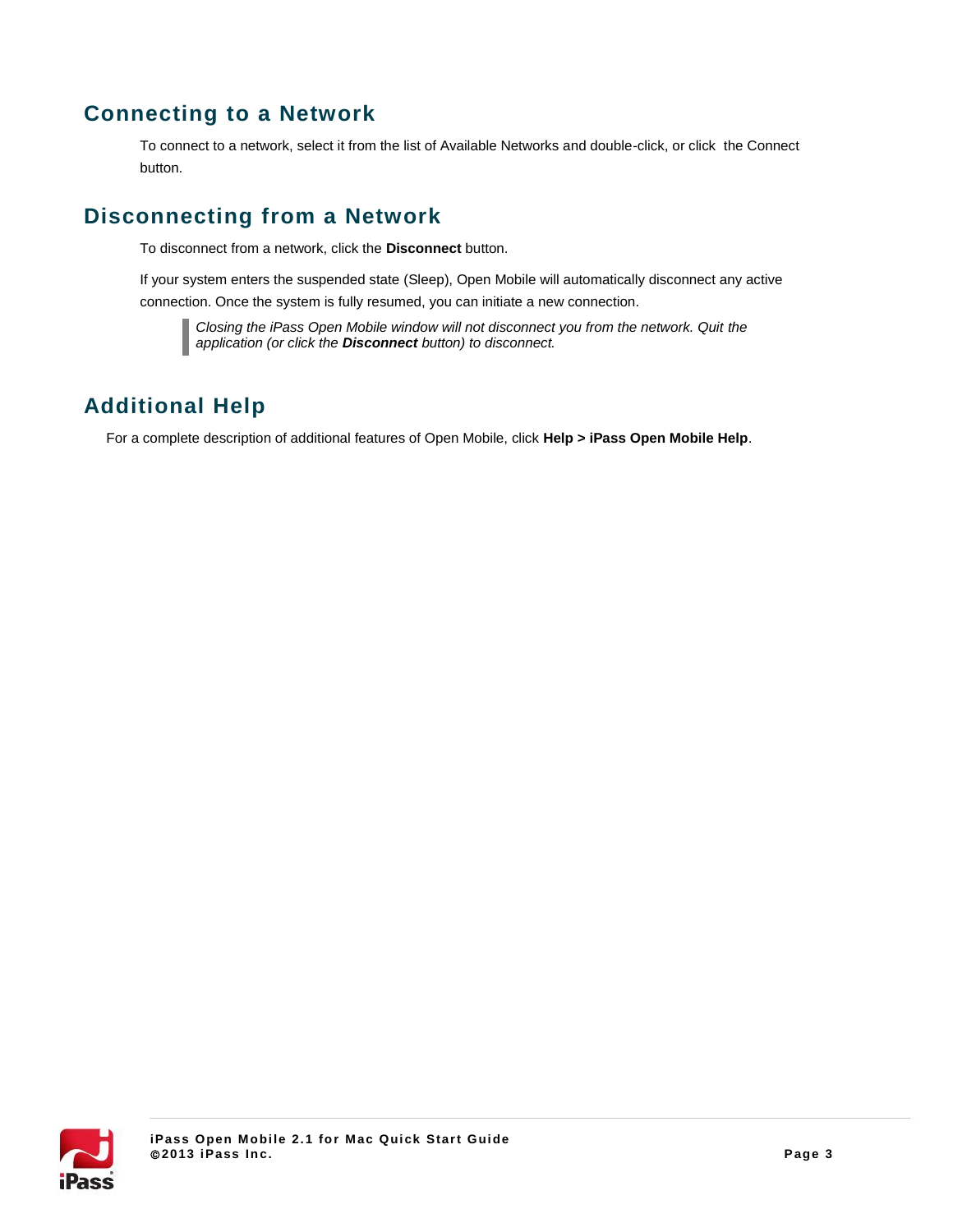## **Connecting to a Network**

To connect to a network, select it from the list of Available Networks and double-click, or click the Connect button.

### **Disconnecting from a Network**

To disconnect from a network, click the **Disconnect** button.

If your system enters the suspended state (Sleep), Open Mobile will automatically disconnect any active connection. Once the system is fully resumed, you can initiate a new connection.

*Closing the iPass Open Mobile window will not disconnect you from the network. Quit the application (or click the Disconnect button) to disconnect.*

# **Additional Help**

For a complete description of additional features of Open Mobile, click **Help > iPass Open Mobile Help**.